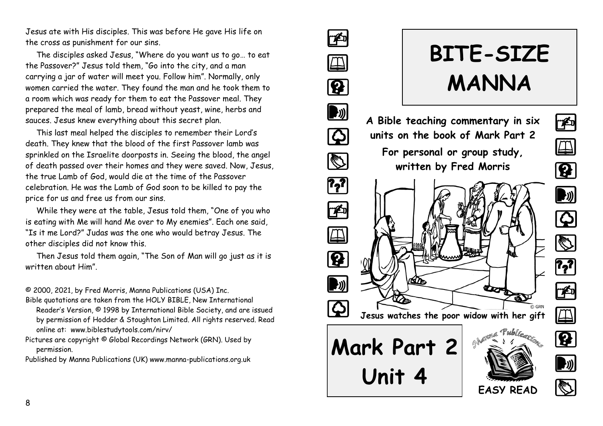Jesus ate with His disciples. This was before He gave His life on the cross as punishment for our sins.

The disciples asked Jesus, "Where do you want us to go… to eat the Passover?" Jesus told them, "Go into the city, and a man carrying a jar of water will meet you. Follow him". Normally, only women carried the water. They found the man and he took them to a room which was ready for them to eat the Passover meal. They prepared the meal of lamb, bread without yeast, wine, herbs and sauces. Jesus knew everything about this secret plan.

This last meal helped the disciples to remember their Lord's death. They knew that the blood of the first Passover lamb was sprinkled on the Israelite doorposts in. Seeing the blood, the angel of death passed over their homes and they were saved. Now, Jesus, the true Lamb of God, would die at the time of the Passover celebration. He was the Lamb of God soon to be killed to pay the price for us and free us from our sins.

While they were at the table, Jesus told them, "One of you who is eating with Me will hand Me over to My enemies". Each one said, "Is it me Lord?" Judas was the one who would betray Jesus. The other disciples did not know this.

Then Jesus told them again, "The Son of Man will go just as it is written about Him".

© 2000, 2021, by Fred Morris, Manna Publications (USA) Inc.

Bible quotations are taken from the HOLY BIBLE, New International Reader's Version, © 1998 by International Bible Society, and are issued by permission of Hodder & Stoughton Limited. All rights reserved. Read online at: www.biblestudytools.com/nirv/

Pictures are copyright © Global Recordings Network (GRN). Used by permission.

Published by Manna Publications (UK) www.manna-publications.org.uk

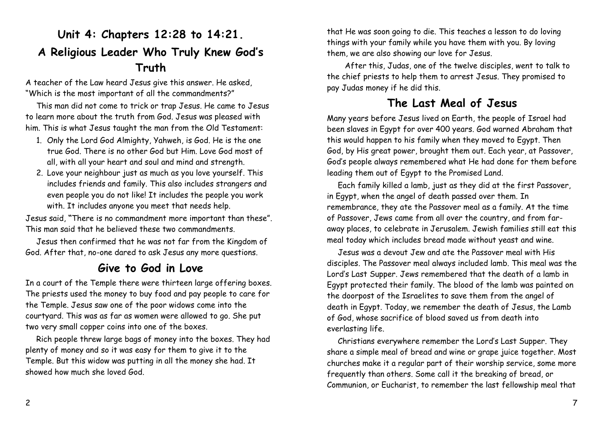# **Unit 4: Chapters 12:28 to 14:21. A Religious Leader Who Truly Knew God's Truth**

A teacher of the Law heard Jesus give this answer. He asked, "Which is the most important of all the commandments?"

This man did not come to trick or trap Jesus. He came to Jesus to learn more about the truth from God. Jesus was pleased with him. This is what Jesus taught the man from the Old Testament:

- 1. Only the Lord God Almighty, Yahweh, is God. He is the one true God. There is no other God but Him. Love God most of all, with all your heart and soul and mind and strength.
- 2. Love your neighbour just as much as you love yourself. This includes friends and family. This also includes strangers and even people you do not like! It includes the people you work with. It includes anyone you meet that needs help.

Jesus said, **"**There is no commandment more important than these". This man said that he believed these two commandments.

Jesus then confirmed that he was not far from the Kingdom of God. After that, no-one dared to ask Jesus any more questions.

### **Give to God in Love**

In a court of the Temple there were thirteen large offering boxes. The priests used the money to buy food and pay people to care for the Temple. Jesus saw one of the poor widows come into the courtyard. This was as far as women were allowed to go. She put two very small copper coins into one of the boxes.

Rich people threw large bags of money into the boxes. They had plenty of money and so it was easy for them to give it to the Temple. But this widow was putting in all the money she had. It showed how much she loved God.

that He was soon going to die. This teaches a lesson to do loving things with your family while you have them with you. By loving them, we are also showing our love for Jesus.

 After this, Judas, one of the twelve disciples, went to talk to the chief priests to help them to arrest Jesus. They promised to pay Judas money if he did this.

#### **The Last Meal of Jesus**

Many years before Jesus lived on Earth, the people of Israel had been slaves in Egypt for over 400 years. God warned Abraham that this would happen to his family when they moved to Egypt. Then God, by His great power, brought them out. Each year, at Passover, God's people always remembered what He had done for them before leading them out of Egypt to the Promised Land.

Each family killed a lamb, just as they did at the first Passover, in Egypt, when the angel of death passed over them. In remembrance, they ate the Passover meal as a family. At the time of Passover, Jews came from all over the country, and from faraway places, to celebrate in Jerusalem. Jewish families still eat this meal today which includes bread made without yeast and wine.

Jesus was a devout Jew and ate the Passover meal with His disciples. The Passover meal always included lamb. This meal was the Lord's Last Supper. Jews remembered that the death of a lamb in Egypt protected their family. The blood of the lamb was painted on the doorpost of the Israelites to save them from the angel of death in Egypt. Today, we remember the death of Jesus, the Lamb of God, whose sacrifice of blood saved us from death into everlasting life.

Christians everywhere remember the Lord's Last Supper. They share a simple meal of bread and wine or grape juice together. Most churches make it a regular part of their worship service, some more frequently than others. Some call it the breaking of bread, or Communion, or Eucharist, to remember the last fellowship meal that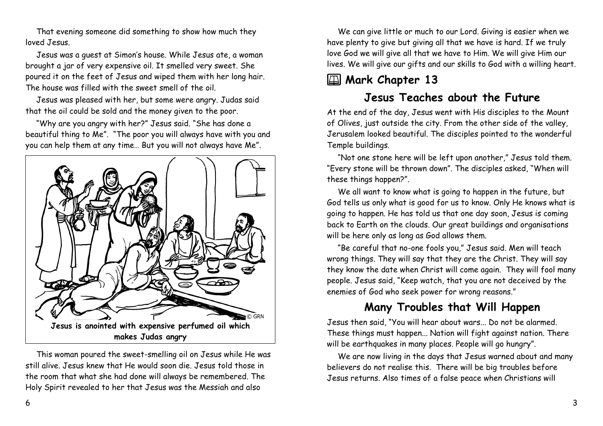That evening someone did something to show how much they loved Jesus.

Jesus was a guest at Simon's house. While Jesus ate, a woman brought a jar of very expensive oil. It smelled very sweet. She poured it on the feet of Jesus and wiped them with her long hair. The house was filled with the sweet smell of the oil.

Jesus was pleased with her, but some were angry. Judas said that the oil could be sold and the money given to the poor.

"Why are you angry with her?" Jesus said. "She has done a beautiful thing to Me". "The poor you will always have with you and you can help them at any time… But you will not always have Me".



This woman poured the sweet-smelling oil on Jesus while He was still alive. Jesus knew that He would soon die. Jesus told those in the room that what she had done will always be remembered. The Holy Spirit revealed to her that Jesus was the Messiah and also

We can give little or much to our Lord. Giving is easier when we have plenty to give but giving all that we have is hard. If we truly love God we will give all that we have to Him. We will give Him our lives. We will give our gifts and our skills to God with a willing heart.

# **2** Mark Chapter 13

### **Jesus Teaches about the Future**

At the end of the day, Jesus went with His disciples to the Mount of Olives, just outside the city. From the other side of the valley, Jerusalem looked beautiful. The disciples pointed to the wonderful Temple buildings.

"Not one stone here will be left upon another," Jesus told them. "Every stone will be thrown down". The disciples asked, "When will these things happen?".

We all want to know what is going to happen in the future, but God tells us only what is good for us to know. Only He knows what is going to happen. He has told us that one day soon, Jesus is coming back to Earth on the clouds. Our great buildings and organisations will be here only as long as God allows them.

"Be careful that no-one fools you," Jesus said. Men will teach wrong things. They will say that they are the Christ. They will say they know the date when Christ will come again. They will fool many people. Jesus said, "Keep watch, that you are not deceived by the enemies of God who seek power for wrong reasons."

### **Many Troubles that Will Happen**

Jesus then said, "You will hear about wars... Do not be alarmed. These things must happen... Nation will fight against nation. There will be earthquakes in many places. People will go hungry".

We are now living in the days that Jesus warned about and many believers do not realise this. There will be big troubles before Jesus returns. Also times of a false peace when Christians will